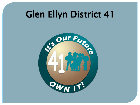### Glen Ellyn District 41

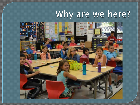### Why are we here?

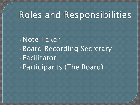#### Roles and Responsibilities

•Note Taker •Board Recording Secretary •Facilitator •Participants (The Board)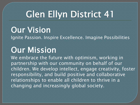## Glen Ellyn District 41

**Our Vision**<br>Ignite Passion. Inspire Excellence. Imagine Possibilities

Our Mission<br>We embrace the future with optimism, working in partnership with our community on behalf of our children. We develop intellect, engage creativity, foster responsibility, and build positive and collaborative relationships to enable all children to thrive in a changing and increasingly global society.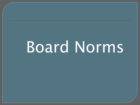# Board Norms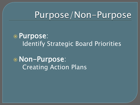#### Purpose/Non-Purpose

 Purpose: Identify Strategic Board Priorities

 Non-Purpose: Creating Action Plans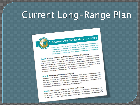#### Current Long-Range Plan

#### A Long-Range Plan for the 21st century

The LOTIS TYPE TO USE TO BE THE PLAT TO BE THE PLAT TO BE THE PLAT TO BE THE PLAT TO BE THE PLAT TO BE THE PLAT TO BE THE PLAT TO BE THE PLAT TO BE THE PLAT TO BE THE PLAT TO BE THE PLAT TO BE THE PLAT TO BE THE PLAT TO BE "It's Our Future—OWN IT!" Our Long-Range Plan logo and motto were designed."<br>"It's Our Future—OWN IT!" Our Long-Range Plan logo and motto were designed."<br>"Emphasize that we all play a role in the plan's succession the plan "It's Our Future—OWN IT!" Our Long-Future<br>emphasize that we all play a role in the plan's success. On this page is an over-<br>emphasize that we all play a role in the plan's success:<br>of the plan; on the reverse are the essen emphasize that we all play a role in the plant<br>of the plan; on the reverse are the essential pieces needed for the plans succes<br>of the plan; on the reverse are the essential pieces needed for the plants core.<br>our Learner C

our Learner Characteristics, our<br>Goal 1: Student learning and achievement in the 21st century<br>Goal 1: Student learning and achievement in the 21st century. In the early grades, Goal I: Student learning and achievement in the 21st century<br>The district will prepare students to succeed in the 21st century. In the early grades, the focus will<br>The district will prepare students to succeed in the 21st Goal 1: Student learning and achievement in the early grades, the focus and<br>The district will prepare students to succeed in the 21st century. In the early grades, the focus<br>The district will prepare students to succeed in Goal 1: Student teams to succeed in the 21st century<br>The district will prepare students to succeed in the 21st century<br>The district will prepare students to succeed in the 21st century, as students progress through the gui The district will prepare studies in reading and math; as seen that is students will be our be on providing a strong foundation in reading and movative thinking skills. Students will be our be on providing a strong foundat be on providing a strong tourier and innovative times.<br>there will be more emphasis on higher order and innovative times<br>demonstrate the knowledge, expertise and learner characteristics necessary for 21st century learner<br>de demonstrate the knowledge, expertise and how.<br>demonstrate the knowledge, expertise and how.<br>which include critical thinking, problem-solving, communication and collaborates.<br>to foster learners who are self-directed and abl

to foster learners and the information age,<br>
Goal 2: Development of human capital<br>
Employees are the district's most valuable asset. To build capacity to succeed in the information age,<br>
Employees are the district's most v Goal 2: Development of human capital<br>Employees are the district's most valuable asset. To build capacity to succeed in the information<br>Employees are the district's most valuable asset. To build capacity for the 21st centur Goal 2: Development<br>Employees are the district's most valuable asset. To build capacity for the 21st century communication,<br>the district will focus on providing opportunities to develop skills necessary for the 21st centur Employees are the districts and the districts in providing opportunities to develop skills.<br>The district will focus on providing opportunities to develop skills incompany, communication, collabolated<br>the district will focu

tional environment such that are able to thrive in a processed and the attributes of those who are able to thrive in a processed and the attributes of those who are aligns with student demographics.

to recruit a worklock strategy learning through technology<br>Goal 3: 21st century learning through technology<br>to propel student learning by building the capa Goal 3: 21st century learning through technology<br>We will use technology to propel student learning by building the capacity to link students with learn-<br>We will use technology to propel student learning by building the cap Goal 3: 21st century learning through technology to link students with all.<br>We will use technology to propel student learning by building the capacity to link students with all.<br>We will use technology to propel student lea Goal 3: 21st century to propel student learning by building the chemical forme-to-one access to technology to propel student learning by building for one-to-one access to technology with the potential for one-to-one access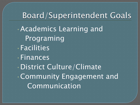Board/Superintendent Goals •Academics Learning and Programing •Facilities •Finances •District Culture/Climate •Community Engagement and Communication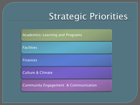### Strategic Priorities

Academics-Learning and Programs

Facilities

Finances

Culture & Climate

Community Engagement & Communication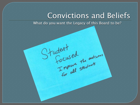#### Convictions and Beliefs

What do you want the Legacy of this Board to be?

Student<br>Focused the outcomes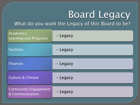# Board Legacy

#### What do you want the Legacy of this Board to be?

| Academics<br>Learning and Programs             | · Legacy |
|------------------------------------------------|----------|
| <b>Facilities</b>                              | · Legacy |
| <b>Finances</b>                                | · Legacy |
| <b>Culture &amp; Climate</b>                   | · Legacy |
| <b>Community Engagement</b><br>& Communication | · Legacy |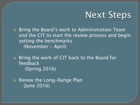

**■ Bring the Board's work to Administration Team** and the CIT to start the review process and begin setting the benchmarks (November - April)

**■** Bring the work of CIT back to the Board for feedback (Spring 2016)

• Renew the Long-Range Plan (June 2016)